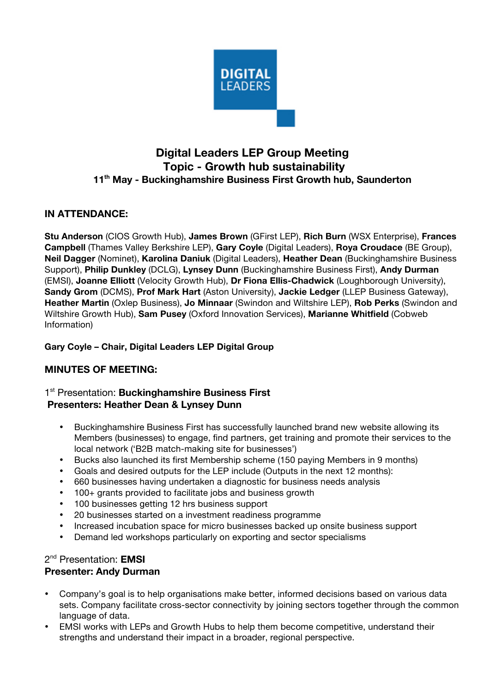

# **Digital Leaders LEP Group Meeting Topic - Growth hub sustainability 11th May - Buckinghamshire Business First Growth hub, Saunderton**

## **IN ATTENDANCE:**

**Stu Anderson** (CIOS Growth Hub), **James Brown** (GFirst LEP), **Rich Burn** (WSX Enterprise), **Frances Campbell** (Thames Valley Berkshire LEP), **Gary Coyle** (Digital Leaders), **Roya Croudace** (BE Group), **Neil Dagger** (Nominet), **Karolina Daniuk** (Digital Leaders), **Heather Dean** (Buckinghamshire Business Support), **Philip Dunkley** (DCLG), **Lynsey Dunn** (Buckinghamshire Business First), **Andy Durman** (EMSI), **Joanne Elliott** (Velocity Growth Hub), **Dr Fiona Ellis-Chadwick** (Loughborough University), **Sandy Grom** (DCMS), **Prof Mark Hart** (Aston University), **Jackie Ledger** (LLEP Business Gateway), **Heather Martin** (Oxlep Business), **Jo Minnaar** (Swindon and Wiltshire LEP), **Rob Perks** (Swindon and Wiltshire Growth Hub), **Sam Pusey** (Oxford Innovation Services), **Marianne Whitfield** (Cobweb Information)

### **Gary Coyle – Chair, Digital Leaders LEP Digital Group**

### **MINUTES OF MEETING:**

### 1<sup>st</sup> Presentation: **Buckinghamshire Business First Presenters: Heather Dean & Lynsey Dunn**

- Buckinghamshire Business First has successfully launched brand new website allowing its Members (businesses) to engage, find partners, get training and promote their services to the local network ('B2B match-making site for businesses')
- Bucks also launched its first Membership scheme (150 paying Members in 9 months)
- Goals and desired outputs for the LEP include (Outputs in the next 12 months):
- 660 businesses having undertaken a diagnostic for business needs analysis
- 100+ grants provided to facilitate jobs and business growth
- 100 businesses getting 12 hrs business support
- 20 businesses started on a investment readiness programme
- Increased incubation space for micro businesses backed up onsite business support
- Demand led workshops particularly on exporting and sector specialisms

### 2nd Presentation: **EMSI**

#### **Presenter: Andy Durman**

- Company's goal is to help organisations make better, informed decisions based on various data sets. Company facilitate cross-sector connectivity by joining sectors together through the common language of data.
- EMSI works with LEPs and Growth Hubs to help them become competitive, understand their strengths and understand their impact in a broader, regional perspective.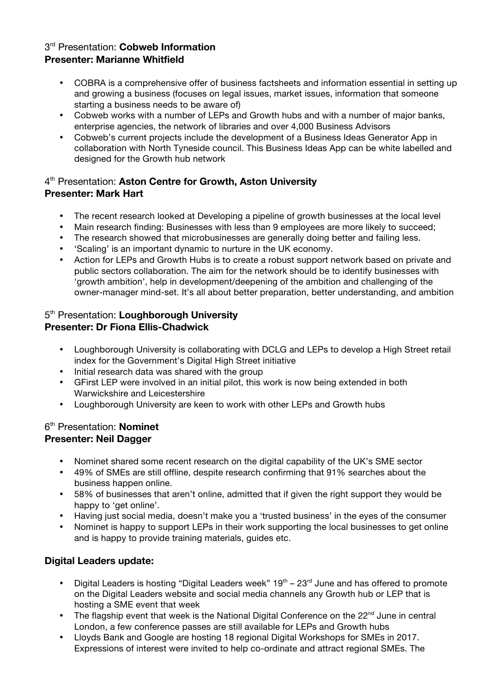## 3rd Presentation: **Cobweb Information Presenter: Marianne Whitfield**

- COBRA is a comprehensive offer of business factsheets and information essential in setting up and growing a business (focuses on legal issues, market issues, information that someone starting a business needs to be aware of)
- Cobweb works with a number of LEPs and Growth hubs and with a number of major banks, enterprise agencies, the network of libraries and over 4,000 Business Advisors
- Cobweb's current projects include the development of a Business Ideas Generator App in collaboration with North Tyneside council. This Business Ideas App can be white labelled and designed for the Growth hub network

## 4th Presentation: **Aston Centre for Growth, Aston University Presenter: Mark Hart**

- The recent research looked at Developing a pipeline of growth businesses at the local level
- Main research finding: Businesses with less than 9 employees are more likely to succeed;
- The research showed that microbusinesses are generally doing better and failing less.
- 'Scaling' is an important dynamic to nurture in the UK economy.
- Action for LEPs and Growth Hubs is to create a robust support network based on private and public sectors collaboration. The aim for the network should be to identify businesses with 'growth ambition', help in development/deepening of the ambition and challenging of the owner-manager mind-set. It's all about better preparation, better understanding, and ambition

## 5th Presentation: **Loughborough University Presenter: Dr Fiona Ellis-Chadwick**

- Loughborough University is collaborating with DCLG and LEPs to develop a High Street retail index for the Government's Digital High Street initiative
- Initial research data was shared with the group
- GFirst LEP were involved in an initial pilot, this work is now being extended in both Warwickshire and Leicestershire
- Loughborough University are keen to work with other LEPs and Growth hubs

### 6th Presentation: **Nominet Presenter: Neil Dagger**

- Nominet shared some recent research on the digital capability of the UK's SME sector
- 49% of SMEs are still offline, despite research confirming that 91% searches about the business happen online.
- 58% of businesses that aren't online, admitted that if given the right support they would be happy to 'get online'.
- Having just social media, doesn't make you a 'trusted business' in the eyes of the consumer
- Nominet is happy to support LEPs in their work supporting the local businesses to get online and is happy to provide training materials, guides etc.

## **Digital Leaders update:**

- Digital Leaders is hosting "Digital Leaders week"  $19<sup>th</sup> 23<sup>rd</sup>$  June and has offered to promote on the Digital Leaders website and social media channels any Growth hub or LEP that is hosting a SME event that week
- The flagship event that week is the National Digital Conference on the  $22<sup>nd</sup>$  June in central London, a few conference passes are still available for LEPs and Growth hubs
- Lloyds Bank and Google are hosting 18 regional Digital Workshops for SMEs in 2017. Expressions of interest were invited to help co-ordinate and attract regional SMEs. The